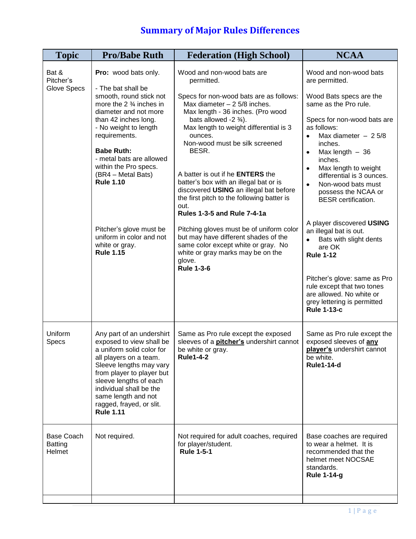| Pro: wood bats only.                                                                                                                                                                                                                                                                                                                                                                           | Wood and non-wood bats are<br>permitted.                                                                                                                                                                                                                                                                                                                                                                                                                                                                                                                                                                                                                                    | Wood and non-wood bats<br>are permitted.                                                                                                                                                                                                                                                                                                                                                                                                                                                                                                                                                                           |
|------------------------------------------------------------------------------------------------------------------------------------------------------------------------------------------------------------------------------------------------------------------------------------------------------------------------------------------------------------------------------------------------|-----------------------------------------------------------------------------------------------------------------------------------------------------------------------------------------------------------------------------------------------------------------------------------------------------------------------------------------------------------------------------------------------------------------------------------------------------------------------------------------------------------------------------------------------------------------------------------------------------------------------------------------------------------------------------|--------------------------------------------------------------------------------------------------------------------------------------------------------------------------------------------------------------------------------------------------------------------------------------------------------------------------------------------------------------------------------------------------------------------------------------------------------------------------------------------------------------------------------------------------------------------------------------------------------------------|
| - The bat shall be<br>smooth, round stick not<br>more the $2\frac{3}{4}$ inches in<br>diameter and not more<br>than 42 inches long.<br>- No weight to length<br>requirements.<br><b>Babe Ruth:</b><br>- metal bats are allowed<br>within the Pro specs.<br>(BR4 - Metal Bats)<br><b>Rule 1.10</b><br>Pitcher's glove must be<br>uniform in color and not<br>white or gray.<br><b>Rule 1.15</b> | Specs for non-wood bats are as follows:<br>Max diameter $- 25/8$ inches.<br>Max length - 36 inches. (Pro wood<br>bats allowed -2 $\frac{3}{4}$ ).<br>Max length to weight differential is 3<br>ounces.<br>Non-wood must be silk screened<br>BESR.<br>A batter is out if he <b>ENTERS</b> the<br>batter's box with an illegal bat or is<br>discovered USING an illegal bat before<br>the first pitch to the following batter is<br>out.<br><b>Rules 1-3-5 and Rule 7-4-1a</b><br>Pitching gloves must be of uniform color<br>but may have different shades of the<br>same color except white or gray. No<br>white or gray marks may be on the<br>glove.<br><b>Rule 1-3-6</b> | Wood Bats specs are the<br>same as the Pro rule.<br>Specs for non-wood bats are<br>as follows:<br>Max diameter $-25/8$<br>$\bullet$<br>inches.<br>Max length $-36$<br>$\bullet$<br>inches.<br>Max length to weight<br>$\bullet$<br>differential is 3 ounces.<br>Non-wood bats must<br>$\bullet$<br>possess the NCAA or<br><b>BESR</b> certification.<br>A player discovered USING<br>an illegal bat is out.<br>Bats with slight dents<br>are OK<br><b>Rule 1-12</b><br>Pitcher's glove: same as Pro<br>rule except that two tones<br>are allowed. No white or<br>grey lettering is permitted<br><b>Rule 1-13-c</b> |
| Any part of an undershirt<br>exposed to view shall be<br>a uniform solid color for<br>all players on a team.<br>Sleeve lengths may vary<br>from player to player but<br>sleeve lengths of each<br>individual shall be the<br>same length and not<br>ragged, frayed, or slit.<br><b>Rule 1.11</b>                                                                                               | Same as Pro rule except the exposed<br>sleeves of a pitcher's undershirt cannot<br>be white or gray.<br><b>Rule1-4-2</b>                                                                                                                                                                                                                                                                                                                                                                                                                                                                                                                                                    | Same as Pro rule except the<br>exposed sleeves of any<br>player's undershirt cannot<br>be white.<br><b>Rule1-14-d</b>                                                                                                                                                                                                                                                                                                                                                                                                                                                                                              |
| Not required.                                                                                                                                                                                                                                                                                                                                                                                  | Not required for adult coaches, required<br>for player/student.<br><b>Rule 1-5-1</b>                                                                                                                                                                                                                                                                                                                                                                                                                                                                                                                                                                                        | Base coaches are required<br>to wear a helmet. It is<br>recommended that the<br>helmet meet NOCSAE<br>standards.<br><b>Rule 1-14-g</b>                                                                                                                                                                                                                                                                                                                                                                                                                                                                             |
|                                                                                                                                                                                                                                                                                                                                                                                                |                                                                                                                                                                                                                                                                                                                                                                                                                                                                                                                                                                                                                                                                             |                                                                                                                                                                                                                                                                                                                                                                                                                                                                                                                                                                                                                    |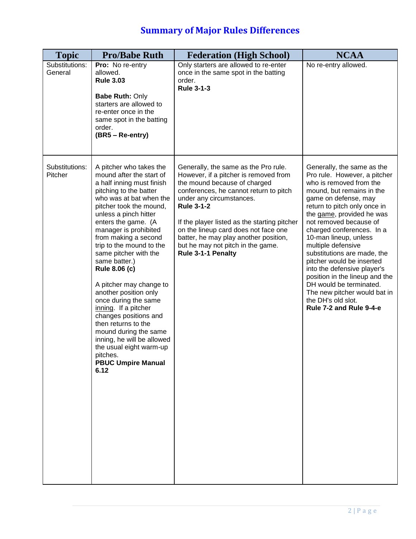| <b>Topic</b>              | <b>Pro/Babe Ruth</b>                                                                                                                                                                                                                                                                                                                                                                                                                                                                                                                                                                                                                                   | <b>Federation (High School)</b>                                                                                                                                                                                                                                                                                                                                                                      | <b>NCAA</b>                                                                                                                                                                                                                                                                                                                                                                                                                                                                                                                                            |
|---------------------------|--------------------------------------------------------------------------------------------------------------------------------------------------------------------------------------------------------------------------------------------------------------------------------------------------------------------------------------------------------------------------------------------------------------------------------------------------------------------------------------------------------------------------------------------------------------------------------------------------------------------------------------------------------|------------------------------------------------------------------------------------------------------------------------------------------------------------------------------------------------------------------------------------------------------------------------------------------------------------------------------------------------------------------------------------------------------|--------------------------------------------------------------------------------------------------------------------------------------------------------------------------------------------------------------------------------------------------------------------------------------------------------------------------------------------------------------------------------------------------------------------------------------------------------------------------------------------------------------------------------------------------------|
| Substitutions:<br>General | Pro: No re-entry<br>allowed.<br><b>Rule 3.03</b><br><b>Babe Ruth: Only</b><br>starters are allowed to<br>re-enter once in the<br>same spot in the batting<br>order.<br>(BR5 - Re-entry)                                                                                                                                                                                                                                                                                                                                                                                                                                                                | Only starters are allowed to re-enter<br>once in the same spot in the batting<br>order.<br><b>Rule 3-1-3</b>                                                                                                                                                                                                                                                                                         | No re-entry allowed.                                                                                                                                                                                                                                                                                                                                                                                                                                                                                                                                   |
| Substitutions:<br>Pitcher | A pitcher who takes the<br>mound after the start of<br>a half inning must finish<br>pitching to the batter<br>who was at bat when the<br>pitcher took the mound,<br>unless a pinch hitter<br>enters the game. (A<br>manager is prohibited<br>from making a second<br>trip to the mound to the<br>same pitcher with the<br>same batter.)<br><b>Rule 8.06 (c)</b><br>A pitcher may change to<br>another position only<br>once during the same<br>inning. If a pitcher<br>changes positions and<br>then returns to the<br>mound during the same<br>inning, he will be allowed<br>the usual eight warm-up<br>pitches.<br><b>PBUC Umpire Manual</b><br>6.12 | Generally, the same as the Pro rule.<br>However, if a pitcher is removed from<br>the mound because of charged<br>conferences, he cannot return to pitch<br>under any circumstances.<br><b>Rule 3-1-2</b><br>If the player listed as the starting pitcher<br>on the lineup card does not face one<br>batter, he may play another position,<br>but he may not pitch in the game.<br>Rule 3-1-1 Penalty | Generally, the same as the<br>Pro rule. However, a pitcher<br>who is removed from the<br>mound, but remains in the<br>game on defense, may<br>return to pitch only once in<br>the game, provided he was<br>not removed because of<br>charged conferences. In a<br>10-man lineup, unless<br>multiple defensive<br>substitutions are made, the<br>pitcher would be inserted<br>into the defensive player's<br>position in the lineup and the<br>DH would be terminated.<br>The new pitcher would bat in<br>the DH's old slot.<br>Rule 7-2 and Rule 9-4-e |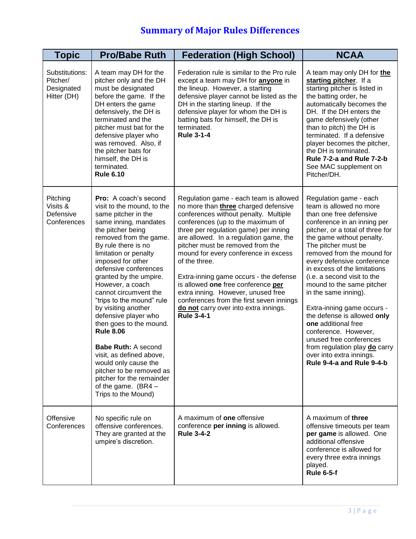| <b>Topic</b>                                            | <b>Pro/Babe Ruth</b>                                                                                                                                                                                                                                                                                                                                                                                                                                                                                                                                                                                                                                   | <b>Federation (High School)</b>                                                                                                                                                                                                                                                                                                                                                                                                                                                                                                                                              | <b>NCAA</b>                                                                                                                                                                                                                                                                                                                                                                                                                                                                                                                                                                                                          |
|---------------------------------------------------------|--------------------------------------------------------------------------------------------------------------------------------------------------------------------------------------------------------------------------------------------------------------------------------------------------------------------------------------------------------------------------------------------------------------------------------------------------------------------------------------------------------------------------------------------------------------------------------------------------------------------------------------------------------|------------------------------------------------------------------------------------------------------------------------------------------------------------------------------------------------------------------------------------------------------------------------------------------------------------------------------------------------------------------------------------------------------------------------------------------------------------------------------------------------------------------------------------------------------------------------------|----------------------------------------------------------------------------------------------------------------------------------------------------------------------------------------------------------------------------------------------------------------------------------------------------------------------------------------------------------------------------------------------------------------------------------------------------------------------------------------------------------------------------------------------------------------------------------------------------------------------|
| Substitutions:<br>Pitcher/<br>Designated<br>Hitter (DH) | A team may DH for the<br>pitcher only and the DH<br>must be designated<br>before the game. If the<br>DH enters the game<br>defensively, the DH is<br>terminated and the<br>pitcher must bat for the<br>defensive player who<br>was removed. Also, if<br>the pitcher bats for<br>himself, the DH is<br>terminated.<br><b>Rule 6.10</b>                                                                                                                                                                                                                                                                                                                  | Federation rule is similar to the Pro rule<br>except a team may DH for <b>anyone</b> in<br>the lineup. However, a starting<br>defensive player cannot be listed as the<br>DH in the starting lineup. If the<br>defensive player for whom the DH is<br>batting bats for himself, the DH is<br>terminated.<br><b>Rule 3-1-4</b>                                                                                                                                                                                                                                                | A team may only DH for the<br>starting pitcher. If a<br>starting pitcher is listed in<br>the batting order, he<br>automatically becomes the<br>DH. If the DH enters the<br>game defensively (other<br>than to pitch) the DH is<br>terminated. If a defensive<br>player becomes the pitcher,<br>the DH is terminated.<br>Rule 7-2-a and Rule 7-2-b<br>See MAC supplement on<br>Pitcher/DH.                                                                                                                                                                                                                            |
| Pitching<br>Visits &<br>Defensive<br>Conferences        | <b>Pro:</b> A coach's second<br>visit to the mound, to the<br>same pitcher in the<br>same inning, mandates<br>the pitcher being<br>removed from the game.<br>By rule there is no<br>limitation or penalty<br>imposed for other<br>defensive conferences<br>granted by the umpire.<br>However, a coach<br>cannot circumvent the<br>"trips to the mound" rule<br>by visiting another<br>defensive player who<br>then goes to the mound.<br><b>Rule 8.06</b><br><b>Babe Ruth: A second</b><br>visit, as defined above,<br>would only cause the<br>pitcher to be removed as<br>pitcher for the remainder<br>of the game. $(BR4 - )$<br>Trips to the Mound) | Regulation game - each team is allowed<br>no more than three charged defensive<br>conferences without penalty. Multiple<br>conferences (up to the maximum of<br>three per regulation game) per inning<br>are allowed. In a regulation game, the<br>pitcher must be removed from the<br>mound for every conference in excess<br>of the three.<br>Extra-inning game occurs - the defense<br>is allowed one free conference per<br>extra inning. However, unused free<br>conferences from the first seven innings<br>do not carry over into extra innings.<br><b>Rule 3-4-1</b> | Regulation game - each<br>team is allowed no more<br>than one free defensive<br>conference in an inning per<br>pitcher, or a total of three for<br>the game without penalty.<br>The pitcher must be<br>removed from the mound for<br>every defensive conference<br>in excess of the limitations<br>(i.e. a second visit to the<br>mound to the same pitcher<br>in the same inning).<br>Extra-inning game occurs -<br>the defense is allowed only<br>one additional free<br>conference. However,<br>unused free conferences<br>from regulation play do carry<br>over into extra innings.<br>Rule 9-4-a and Rule 9-4-b |
| <b>Offensive</b><br>Conferences                         | No specific rule on<br>offensive conferences.<br>They are granted at the<br>umpire's discretion.                                                                                                                                                                                                                                                                                                                                                                                                                                                                                                                                                       | A maximum of <b>one</b> offensive<br>conference per inning is allowed.<br><b>Rule 3-4-2</b>                                                                                                                                                                                                                                                                                                                                                                                                                                                                                  | A maximum of three<br>offensive timeouts per team<br>per game is allowed. One<br>additional offensive<br>conference is allowed for<br>every three extra innings<br>played.<br><b>Rule 6-5-f</b>                                                                                                                                                                                                                                                                                                                                                                                                                      |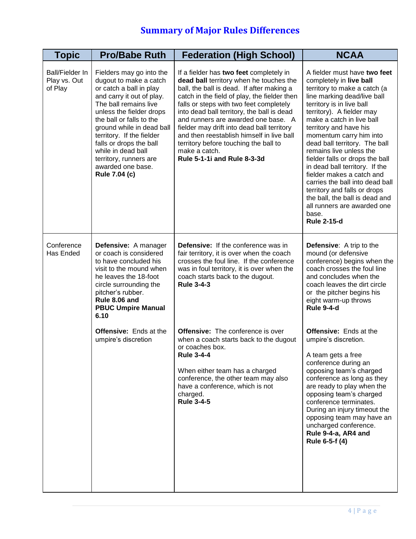| <b>Topic</b>                               | <b>Pro/Babe Ruth</b>                                                                                                                                                                                                                                                                                                                                                   | <b>Federation (High School)</b>                                                                                                                                                                                                                                                                                                                                                                                                                                                                     | <b>NCAA</b>                                                                                                                                                                                                                                                                                                                                                                                                                                                                                                                                                                                         |
|--------------------------------------------|------------------------------------------------------------------------------------------------------------------------------------------------------------------------------------------------------------------------------------------------------------------------------------------------------------------------------------------------------------------------|-----------------------------------------------------------------------------------------------------------------------------------------------------------------------------------------------------------------------------------------------------------------------------------------------------------------------------------------------------------------------------------------------------------------------------------------------------------------------------------------------------|-----------------------------------------------------------------------------------------------------------------------------------------------------------------------------------------------------------------------------------------------------------------------------------------------------------------------------------------------------------------------------------------------------------------------------------------------------------------------------------------------------------------------------------------------------------------------------------------------------|
| Ball/Fielder In<br>Play vs. Out<br>of Play | Fielders may go into the<br>dugout to make a catch<br>or catch a ball in play<br>and carry it out of play.<br>The ball remains live<br>unless the fielder drops<br>the ball or falls to the<br>ground while in dead ball<br>territory. If the fielder<br>falls or drops the ball<br>while in dead ball<br>territory, runners are<br>awarded one base.<br>Rule 7.04 (c) | If a fielder has two feet completely in<br>dead ball territory when he touches the<br>ball, the ball is dead. If after making a<br>catch in the field of play, the fielder then<br>falls or steps with two feet completely<br>into dead ball territory, the ball is dead<br>and runners are awarded one base. A<br>fielder may drift into dead ball territory<br>and then reestablish himself in live ball<br>territory before touching the ball to<br>make a catch.<br>Rule 5-1-1i and Rule 8-3-3d | A fielder must have two feet<br>completely in live ball<br>territory to make a catch (a<br>line marking dead/live ball<br>territory is in live ball<br>territory). A fielder may<br>make a catch in live ball<br>territory and have his<br>momentum carry him into<br>dead ball territory. The ball<br>remains live unless the<br>fielder falls or drops the ball<br>in dead ball territory. If the<br>fielder makes a catch and<br>carries the ball into dead ball<br>territory and falls or drops<br>the ball, the ball is dead and<br>all runners are awarded one<br>base.<br><b>Rule 2-15-d</b> |
| Conference<br>Has Ended                    | Defensive: A manager<br>or coach is considered<br>to have concluded his<br>visit to the mound when<br>he leaves the 18-foot<br>circle surrounding the<br>pitcher's rubber.<br>Rule 8.06 and<br><b>PBUC Umpire Manual</b><br>6.10                                                                                                                                       | Defensive: If the conference was in<br>fair territory, it is over when the coach<br>crosses the foul line. If the conference<br>was in foul territory, it is over when the<br>coach starts back to the dugout.<br><b>Rule 3-4-3</b>                                                                                                                                                                                                                                                                 | <b>Defensive:</b> A trip to the<br>mound (or defensive<br>conference) begins when the<br>coach crosses the foul line<br>and concludes when the<br>coach leaves the dirt circle<br>or the pitcher begins his<br>eight warm-up throws<br><b>Rule 9-4-d</b>                                                                                                                                                                                                                                                                                                                                            |
|                                            | <b>Offensive:</b> Ends at the<br>umpire's discretion                                                                                                                                                                                                                                                                                                                   | <b>Offensive:</b> The conference is over<br>when a coach starts back to the dugout<br>or coaches box.<br><b>Rule 3-4-4</b><br>When either team has a charged<br>conference, the other team may also<br>have a conference, which is not<br>charged.<br><b>Rule 3-4-5</b>                                                                                                                                                                                                                             | <b>Offensive:</b> Ends at the<br>umpire's discretion.<br>A team gets a free<br>conference during an<br>opposing team's charged<br>conference as long as they<br>are ready to play when the<br>opposing team's charged<br>conference terminates.<br>During an injury timeout the<br>opposing team may have an<br>uncharged conference.<br>Rule 9-4-a, AR4 and<br>Rule 6-5-f (4)                                                                                                                                                                                                                      |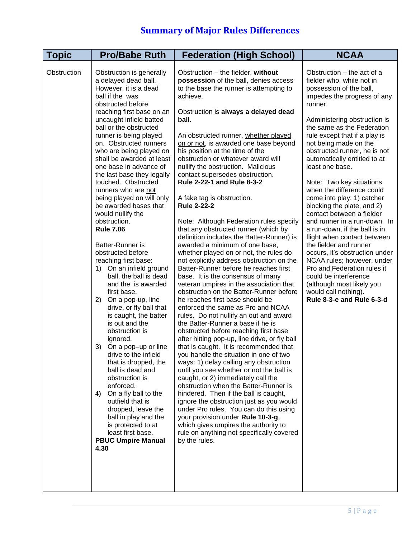| <b>Topic</b> | <b>Pro/Babe Ruth</b>                                                                                                                                                                                                                                                                                                                                                                                                                                                                                                                                                                                                                                                                                                                                                                                                                                                                                                                                                                                                                                                                                                                              | <b>Federation (High School)</b>                                                                                                                                                                                                                                                                                                                                                                                                                                                                                                                                                                                                                                                                                                                                                                                                                                                                                                                                                                                                                                                                                                                                                                                                                                                                                                                                                                                                                                                                                                                                                                                                                                                                                           | <b>NCAA</b>                                                                                                                                                                                                                                                                                                                                                                                                                                                                                                                                                                                                                                                                                                                                                                                                                   |
|--------------|---------------------------------------------------------------------------------------------------------------------------------------------------------------------------------------------------------------------------------------------------------------------------------------------------------------------------------------------------------------------------------------------------------------------------------------------------------------------------------------------------------------------------------------------------------------------------------------------------------------------------------------------------------------------------------------------------------------------------------------------------------------------------------------------------------------------------------------------------------------------------------------------------------------------------------------------------------------------------------------------------------------------------------------------------------------------------------------------------------------------------------------------------|---------------------------------------------------------------------------------------------------------------------------------------------------------------------------------------------------------------------------------------------------------------------------------------------------------------------------------------------------------------------------------------------------------------------------------------------------------------------------------------------------------------------------------------------------------------------------------------------------------------------------------------------------------------------------------------------------------------------------------------------------------------------------------------------------------------------------------------------------------------------------------------------------------------------------------------------------------------------------------------------------------------------------------------------------------------------------------------------------------------------------------------------------------------------------------------------------------------------------------------------------------------------------------------------------------------------------------------------------------------------------------------------------------------------------------------------------------------------------------------------------------------------------------------------------------------------------------------------------------------------------------------------------------------------------------------------------------------------------|-------------------------------------------------------------------------------------------------------------------------------------------------------------------------------------------------------------------------------------------------------------------------------------------------------------------------------------------------------------------------------------------------------------------------------------------------------------------------------------------------------------------------------------------------------------------------------------------------------------------------------------------------------------------------------------------------------------------------------------------------------------------------------------------------------------------------------|
| Obstruction  | Obstruction is generally<br>a delayed dead ball.<br>However, it is a dead<br>ball if the was<br>obstructed before<br>reaching first base on an<br>uncaught infield batted<br>ball or the obstructed<br>runner is being played<br>on. Obstructed runners<br>who are being played on<br>shall be awarded at least<br>one base in advance of<br>the last base they legally<br>touched. Obstructed<br>runners who are not<br>being played on will only<br>be awarded bases that<br>would nullify the<br>obstruction.<br><b>Rule 7.06</b><br>Batter-Runner is<br>obstructed before<br>reaching first base:<br>On an infield ground<br>1)<br>ball, the ball is dead<br>and the is awarded<br>first base.<br>On a pop-up, line<br>2)<br>drive, or fly ball that<br>is caught, the batter<br>is out and the<br>obstruction is<br>ignored.<br>3)<br>On a pop-up or line<br>drive to the infield<br>that is dropped, the<br>ball is dead and<br>obstruction is<br>enforced.<br>On a fly ball to the<br>4)<br>outfield that is<br>dropped, leave the<br>ball in play and the<br>is protected to at<br>least first base.<br><b>PBUC Umpire Manual</b><br>4.30 | Obstruction - the fielder, without<br>possession of the ball, denies access<br>to the base the runner is attempting to<br>achieve.<br>Obstruction is always a delayed dead<br>ball.<br>An obstructed runner, whether played<br>on or not, is awarded one base beyond<br>his position at the time of the<br>obstruction or whatever award will<br>nullify the obstruction. Malicious<br>contact supersedes obstruction.<br>Rule 2-22-1 and Rule 8-3-2<br>A fake tag is obstruction.<br><b>Rule 2-22-2</b><br>Note: Although Federation rules specify<br>that any obstructed runner (which by<br>definition includes the Batter-Runner) is<br>awarded a minimum of one base,<br>whether played on or not, the rules do<br>not explicitly address obstruction on the<br>Batter-Runner before he reaches first<br>base. It is the consensus of many<br>veteran umpires in the association that<br>obstruction on the Batter-Runner before<br>he reaches first base should be<br>enforced the same as Pro and NCAA<br>rules. Do not nullify an out and award<br>the Batter-Runner a base if he is<br>obstructed before reaching first base<br>after hitting pop-up, line drive, or fly ball<br>that is caught. It is recommended that<br>you handle the situation in one of two<br>ways: 1) delay calling any obstruction<br>until you see whether or not the ball is<br>caught, or 2) immediately call the<br>obstruction when the Batter-Runner is<br>hindered. Then if the ball is caught,<br>ignore the obstruction just as you would<br>under Pro rules. You can do this using<br>your provision under Rule 10-3-g,<br>which gives umpires the authority to<br>rule on anything not specifically covered<br>by the rules. | Obstruction – the act of a<br>fielder who, while not in<br>possession of the ball,<br>impedes the progress of any<br>runner.<br>Administering obstruction is<br>the same as the Federation<br>rule except that if a play is<br>not being made on the<br>obstructed runner, he is not<br>automatically entitled to at<br>least one base.<br>Note: Two key situations<br>when the difference could<br>come into play: 1) catcher<br>blocking the plate, and 2)<br>contact between a fielder<br>and runner in a run-down. In<br>a run-down, if the ball is in<br>flight when contact between<br>the fielder and runner<br>occurs, it's obstruction under<br>NCAA rules; however, under<br>Pro and Federation rules it<br>could be interference<br>(although most likely you<br>would call nothing).<br>Rule 8-3-e and Rule 6-3-d |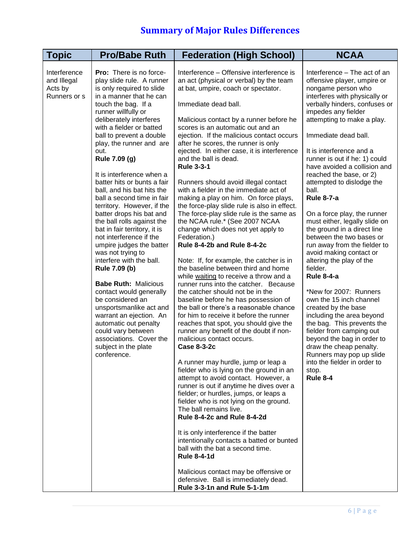| <b>Topic</b>                                           | <b>Pro/Babe Ruth</b>                                                                                                                                                                                                                                                                                                                                                                                                                                                                                                                                                                                                                                                                                                                                                                                                                                                                                                             | <b>Federation (High School)</b>                                                                                                                                                                                                                                                                                                                                                                                                                                                                                                                                                                                                                                                                                                                                                                                                                                                                                                                                                                                                                                                                                                                                                                                                                                                                                                                                                                                                                                                                                                                                                                                                                                                                                                                                                                                                        | <b>NCAA</b>                                                                                                                                                                                                                                                                                                                                                                                                                                                                                                                                                                                                                                                                                                                                                                                                                                                                                                                                                                                |
|--------------------------------------------------------|----------------------------------------------------------------------------------------------------------------------------------------------------------------------------------------------------------------------------------------------------------------------------------------------------------------------------------------------------------------------------------------------------------------------------------------------------------------------------------------------------------------------------------------------------------------------------------------------------------------------------------------------------------------------------------------------------------------------------------------------------------------------------------------------------------------------------------------------------------------------------------------------------------------------------------|----------------------------------------------------------------------------------------------------------------------------------------------------------------------------------------------------------------------------------------------------------------------------------------------------------------------------------------------------------------------------------------------------------------------------------------------------------------------------------------------------------------------------------------------------------------------------------------------------------------------------------------------------------------------------------------------------------------------------------------------------------------------------------------------------------------------------------------------------------------------------------------------------------------------------------------------------------------------------------------------------------------------------------------------------------------------------------------------------------------------------------------------------------------------------------------------------------------------------------------------------------------------------------------------------------------------------------------------------------------------------------------------------------------------------------------------------------------------------------------------------------------------------------------------------------------------------------------------------------------------------------------------------------------------------------------------------------------------------------------------------------------------------------------------------------------------------------------|--------------------------------------------------------------------------------------------------------------------------------------------------------------------------------------------------------------------------------------------------------------------------------------------------------------------------------------------------------------------------------------------------------------------------------------------------------------------------------------------------------------------------------------------------------------------------------------------------------------------------------------------------------------------------------------------------------------------------------------------------------------------------------------------------------------------------------------------------------------------------------------------------------------------------------------------------------------------------------------------|
| Interference<br>and Illegal<br>Acts by<br>Runners or s | Pro: There is no force-<br>play slide rule. A runner<br>is only required to slide<br>in a manner that he can<br>touch the bag. If a<br>runner willfully or<br>deliberately interferes<br>with a fielder or batted<br>ball to prevent a double<br>play, the runner and are<br>out.<br>Rule 7.09 (g)<br>It is interference when a<br>batter hits or bunts a fair<br>ball, and his bat hits the<br>ball a second time in fair<br>territory. However, if the<br>batter drops his bat and<br>the ball rolls against the<br>bat in fair territory, it is<br>not interference if the<br>umpire judges the batter<br>was not trying to<br>interfere with the ball.<br>Rule 7.09 (b)<br><b>Babe Ruth: Malicious</b><br>contact would generally<br>be considered an<br>unsportsmanlike act and<br>warrant an ejection. An<br>automatic out penalty<br>could vary between<br>associations. Cover the<br>subject in the plate<br>conference. | Interference - Offensive interference is<br>an act (physical or verbal) by the team<br>at bat, umpire, coach or spectator.<br>Immediate dead ball.<br>Malicious contact by a runner before he<br>scores is an automatic out and an<br>ejection. If the malicious contact occurs<br>after he scores, the runner is only<br>ejected. In either case, it is interference<br>and the ball is dead.<br><b>Rule 3-3-1</b><br>Runners should avoid illegal contact<br>with a fielder in the immediate act of<br>making a play on him. On force plays,<br>the force-play slide rule is also in effect.<br>The force-play slide rule is the same as<br>the NCAA rule.* (See 2007 NCAA<br>change which does not yet apply to<br>Federation.)<br>Rule 8-4-2b and Rule 8-4-2c<br>Note: If, for example, the catcher is in<br>the baseline between third and home<br>while waiting to receive a throw and a<br>runner runs into the catcher. Because<br>the catcher should not be in the<br>baseline before he has possession of<br>the ball or there's a reasonable chance<br>for him to receive it before the runner<br>reaches that spot, you should give the<br>runner any benefit of the doubt if non-<br>malicious contact occurs.<br><b>Case 8-3-2c</b><br>A runner may hurdle, jump or leap a<br>fielder who is lying on the ground in an<br>attempt to avoid contact. However, a<br>runner is out if anytime he dives over a<br>fielder; or hurdles, jumps, or leaps a<br>fielder who is not lying on the ground.<br>The ball remains live.<br>Rule 8-4-2c and Rule 8-4-2d<br>It is only interference if the batter<br>intentionally contacts a batted or bunted<br>ball with the bat a second time.<br><b>Rule 8-4-1d</b><br>Malicious contact may be offensive or<br>defensive. Ball is immediately dead.<br>Rule 3-3-1n and Rule 5-1-1m | Interference - The act of an<br>offensive player, umpire or<br>nongame person who<br>interferes with physically or<br>verbally hinders, confuses or<br>impedes any fielder<br>attempting to make a play.<br>Immediate dead ball.<br>It is interference and a<br>runner is out if he: 1) could<br>have avoided a collision and<br>reached the base, or 2)<br>attempted to dislodge the<br>ball.<br><b>Rule 8-7-a</b><br>On a force play, the runner<br>must either, legally slide on<br>the ground in a direct line<br>between the two bases or<br>run away from the fielder to<br>avoid making contact or<br>altering the play of the<br>fielder.<br><b>Rule 8-4-a</b><br>*New for 2007: Runners<br>own the 15 inch channel<br>created by the base<br>including the area beyond<br>the bag. This prevents the<br>fielder from camping out<br>beyond the bag in order to<br>draw the cheap penalty.<br>Runners may pop up slide<br>into the fielder in order to<br>stop.<br><b>Rule 8-4</b> |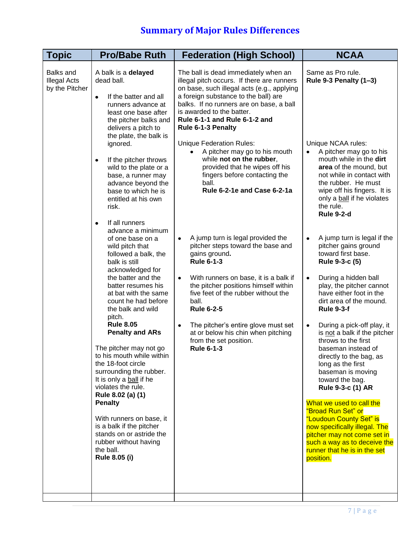| <b>Topic</b>                                              | <b>Pro/Babe Ruth</b>                                                                                                                                                                                                                                                                                                                                                                                                                                                                                                                                                                                                                                                                                                                                                                                                                                                                                                                                                                                                                                             | <b>Federation (High School)</b>                                                                                                                                                                                                                                                                                                                                                                                                                                                                                                                                                                                                                                                                                                                                                                                                                                                                                                                                           | <b>NCAA</b>                                                                                                                                                                                                                                                                                                                                                                                                                                                                                                                                                                                                                                                                                                                                                                                                                                                                                                                                                                                                                              |
|-----------------------------------------------------------|------------------------------------------------------------------------------------------------------------------------------------------------------------------------------------------------------------------------------------------------------------------------------------------------------------------------------------------------------------------------------------------------------------------------------------------------------------------------------------------------------------------------------------------------------------------------------------------------------------------------------------------------------------------------------------------------------------------------------------------------------------------------------------------------------------------------------------------------------------------------------------------------------------------------------------------------------------------------------------------------------------------------------------------------------------------|---------------------------------------------------------------------------------------------------------------------------------------------------------------------------------------------------------------------------------------------------------------------------------------------------------------------------------------------------------------------------------------------------------------------------------------------------------------------------------------------------------------------------------------------------------------------------------------------------------------------------------------------------------------------------------------------------------------------------------------------------------------------------------------------------------------------------------------------------------------------------------------------------------------------------------------------------------------------------|------------------------------------------------------------------------------------------------------------------------------------------------------------------------------------------------------------------------------------------------------------------------------------------------------------------------------------------------------------------------------------------------------------------------------------------------------------------------------------------------------------------------------------------------------------------------------------------------------------------------------------------------------------------------------------------------------------------------------------------------------------------------------------------------------------------------------------------------------------------------------------------------------------------------------------------------------------------------------------------------------------------------------------------|
| <b>Balks and</b><br><b>Illegal Acts</b><br>by the Pitcher | A balk is a delayed<br>dead ball.<br>If the batter and all<br>$\bullet$<br>runners advance at<br>least one base after<br>the pitcher balks and<br>delivers a pitch to<br>the plate, the balk is<br>ignored.<br>If the pitcher throws<br>$\bullet$<br>wild to the plate or a<br>base, a runner may<br>advance beyond the<br>base to which he is<br>entitled at his own<br>risk.<br>If all runners<br>$\bullet$<br>advance a minimum<br>of one base on a<br>wild pitch that<br>followed a balk, the<br>balk is still<br>acknowledged for<br>the batter and the<br>batter resumes his<br>at bat with the same<br>count he had before<br>the balk and wild<br>pitch.<br><b>Rule 8.05</b><br><b>Penalty and ARs</b><br>The pitcher may not go<br>to his mouth while within<br>the 18-foot circle<br>surrounding the rubber.<br>It is only a ball if he<br>violates the rule.<br>Rule 8.02 (a) (1)<br><b>Penalty</b><br>With runners on base, it<br>is a balk if the pitcher<br>stands on or astride the<br>rubber without having<br>the ball.<br><b>Rule 8.05 (i)</b> | The ball is dead immediately when an<br>illegal pitch occurs. If there are runners<br>on base, such illegal acts (e.g., applying<br>a foreign substance to the ball) are<br>balks. If no runners are on base, a ball<br>is awarded to the batter.<br>Rule 6-1-1 and Rule 6-1-2 and<br>Rule 6-1-3 Penalty<br><b>Unique Federation Rules:</b><br>A pitcher may go to his mouth<br>$\bullet$<br>while not on the rubber,<br>provided that he wipes off his<br>fingers before contacting the<br>ball.<br>Rule 6-2-1e and Case 6-2-1a<br>A jump turn is legal provided the<br>$\bullet$<br>pitcher steps toward the base and<br>gains ground.<br><b>Rule 6-1-3</b><br>With runners on base, it is a balk if<br>$\bullet$<br>the pitcher positions himself within<br>five feet of the rubber without the<br>ball.<br><b>Rule 6-2-5</b><br>The pitcher's entire glove must set<br>$\bullet$<br>at or below his chin when pitching<br>from the set position.<br><b>Rule 6-1-3</b> | Same as Pro rule.<br>Rule 9-3 Penalty (1-3)<br>Unique NCAA rules:<br>A pitcher may go to his<br>$\bullet$<br>mouth while in the dirt<br>area of the mound, but<br>not while in contact with<br>the rubber. He must<br>wipe off his fingers. It is<br>only a ball if he violates<br>the rule.<br><b>Rule 9-2-d</b><br>A jump turn is legal if the<br>$\bullet$<br>pitcher gains ground<br>toward first base.<br>Rule 9-3-c (5)<br>During a hidden ball<br>$\bullet$<br>play, the pitcher cannot<br>have either foot in the<br>dirt area of the mound.<br><b>Rule 9-3-f</b><br>During a pick-off play, it<br>$\bullet$<br>is not a balk if the pitcher<br>throws to the first<br>baseman instead of<br>directly to the bag, as<br>long as the first<br>baseman is moving<br>toward the bag.<br>Rule 9-3-c (1) AR<br>What we used to call the<br>"Broad Run Set" or<br>"Loudoun County Set" is<br>now specifically illegal. The<br>pitcher may not come set in<br>such a way as to deceive the<br>runner that he is in the set<br>position. |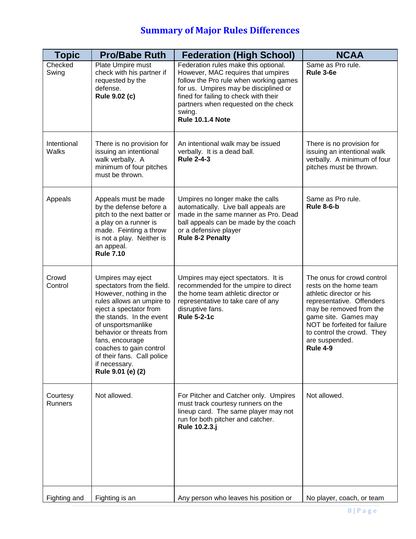| <b>Topic</b>                | <b>Pro/Babe Ruth</b>                                                                                                                                                                                                                                                                                                              | <b>Federation (High School)</b>                                                                                                                                                                                                                                                     | <b>NCAA</b>                                                                                                                                                                                                                                                         |
|-----------------------------|-----------------------------------------------------------------------------------------------------------------------------------------------------------------------------------------------------------------------------------------------------------------------------------------------------------------------------------|-------------------------------------------------------------------------------------------------------------------------------------------------------------------------------------------------------------------------------------------------------------------------------------|---------------------------------------------------------------------------------------------------------------------------------------------------------------------------------------------------------------------------------------------------------------------|
| Checked<br>Swing            | Plate Umpire must<br>check with his partner if<br>requested by the<br>defense.<br><b>Rule 9.02 (c)</b>                                                                                                                                                                                                                            | Federation rules make this optional.<br>However, MAC requires that umpires<br>follow the Pro rule when working games<br>for us. Umpires may be disciplined or<br>fined for failing to check with their<br>partners when requested on the check<br>swing.<br><b>Rule 10.1.4 Note</b> | Same as Pro rule.<br>Rule 3-6e                                                                                                                                                                                                                                      |
| Intentional<br><b>Walks</b> | There is no provision for<br>issuing an intentional<br>walk verbally. A<br>minimum of four pitches<br>must be thrown.                                                                                                                                                                                                             | An intentional walk may be issued<br>verbally. It is a dead ball.<br><b>Rule 2-4-3</b>                                                                                                                                                                                              | There is no provision for<br>issuing an intentional walk<br>verbally. A minimum of four<br>pitches must be thrown.                                                                                                                                                  |
| Appeals                     | Appeals must be made<br>by the defense before a<br>pitch to the next batter or<br>a play on a runner is<br>made. Feinting a throw<br>is not a play. Neither is<br>an appeal.<br><b>Rule 7.10</b>                                                                                                                                  | Umpires no longer make the calls<br>automatically. Live ball appeals are<br>made in the same manner as Pro. Dead<br>ball appeals can be made by the coach<br>or a defensive player<br><b>Rule 8-2 Penalty</b>                                                                       | Same as Pro rule.<br><b>Rule 8-6-b</b>                                                                                                                                                                                                                              |
| Crowd<br>Control            | Umpires may eject<br>spectators from the field.<br>However, nothing in the<br>rules allows an umpire to<br>eject a spectator from<br>the stands. In the event<br>of unsportsmanlike<br>behavior or threats from<br>fans, encourage<br>coaches to gain control<br>of their fans. Call police<br>if necessary.<br>Rule 9.01 (e) (2) | Umpires may eject spectators. It is<br>recommended for the umpire to direct<br>the home team athletic director or<br>representative to take care of any<br>disruptive fans.<br><b>Rule 5-2-1c</b>                                                                                   | The onus for crowd control<br>rests on the home team<br>athletic director or his<br>representative. Offenders<br>may be removed from the<br>game site. Games may<br>NOT be forfeited for failure<br>to control the crowd. They<br>are suspended.<br><b>Rule 4-9</b> |
| Courtesy<br><b>Runners</b>  | Not allowed.                                                                                                                                                                                                                                                                                                                      | For Pitcher and Catcher only. Umpires<br>must track courtesy runners on the<br>lineup card. The same player may not<br>run for both pitcher and catcher.<br>Rule 10.2.3.j                                                                                                           | Not allowed.                                                                                                                                                                                                                                                        |
| Fighting and                | Fighting is an                                                                                                                                                                                                                                                                                                                    | Any person who leaves his position or                                                                                                                                                                                                                                               | No player, coach, or team                                                                                                                                                                                                                                           |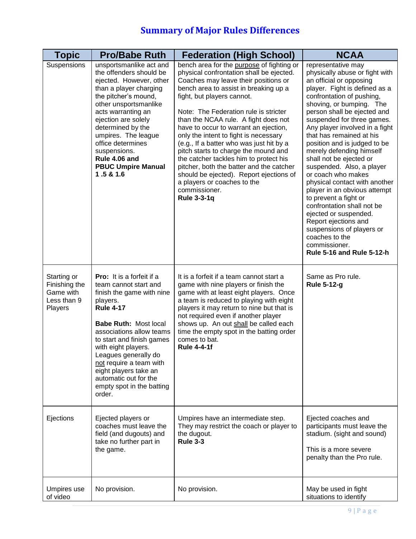| <b>Topic</b>                                                        | <b>Pro/Babe Ruth</b>                                                                                                                                                                                                                                                                                                                                                               | <b>Federation (High School)</b>                                                                                                                                                                                                                                                                                                                                                                                                                                                                                                                                                                                                                                    | <b>NCAA</b>                                                                                                                                                                                                                                                                                                                                                                                                                                                                                                                                                                                                                                                                                                                 |
|---------------------------------------------------------------------|------------------------------------------------------------------------------------------------------------------------------------------------------------------------------------------------------------------------------------------------------------------------------------------------------------------------------------------------------------------------------------|--------------------------------------------------------------------------------------------------------------------------------------------------------------------------------------------------------------------------------------------------------------------------------------------------------------------------------------------------------------------------------------------------------------------------------------------------------------------------------------------------------------------------------------------------------------------------------------------------------------------------------------------------------------------|-----------------------------------------------------------------------------------------------------------------------------------------------------------------------------------------------------------------------------------------------------------------------------------------------------------------------------------------------------------------------------------------------------------------------------------------------------------------------------------------------------------------------------------------------------------------------------------------------------------------------------------------------------------------------------------------------------------------------------|
| Suspensions                                                         | unsportsmanlike act and<br>the offenders should be<br>ejected. However, other<br>than a player charging<br>the pitcher's mound,<br>other unsportsmanlike<br>acts warranting an<br>ejection are solely<br>determined by the<br>umpires. The league<br>office determines<br>suspensions.<br>Rule 4.06 and<br><b>PBUC Umpire Manual</b><br>1.5 & 1.6                                  | bench area for the purpose of fighting or<br>physical confrontation shall be ejected.<br>Coaches may leave their positions or<br>bench area to assist in breaking up a<br>fight, but players cannot.<br>Note: The Federation rule is stricter<br>than the NCAA rule. A fight does not<br>have to occur to warrant an ejection,<br>only the intent to fight is necessary<br>(e.g., If a batter who was just hit by a<br>pitch starts to charge the mound and<br>the catcher tackles him to protect his<br>pitcher, both the batter and the catcher<br>should be ejected). Report ejections of<br>a players or coaches to the<br>commissioner.<br><b>Rule 3-3-1q</b> | representative may<br>physically abuse or fight with<br>an official or opposing<br>player. Fight is defined as a<br>confrontation of pushing,<br>shoving, or bumping. The<br>person shall be ejected and<br>suspended for three games.<br>Any player involved in a fight<br>that has remained at his<br>position and is judged to be<br>merely defending himself<br>shall not be ejected or<br>suspended. Also, a player<br>or coach who makes<br>physical contact with another<br>player in an obvious attempt<br>to prevent a fight or<br>confrontation shall not be<br>ejected or suspended.<br>Report ejections and<br>suspensions of players or<br>coaches to the<br>commissioner.<br><b>Rule 5-16 and Rule 5-12-h</b> |
| Starting or<br>Finishing the<br>Game with<br>Less than 9<br>Players | <b>Pro:</b> It is a forfeit if a<br>team cannot start and<br>finish the game with nine<br>players.<br><b>Rule 4-17</b><br><b>Babe Ruth: Most local</b><br>associations allow teams<br>to start and finish games<br>with eight players.<br>Leagues generally do<br>not require a team with<br>eight players take an<br>automatic out for the<br>empty spot in the batting<br>order. | It is a forfeit if a team cannot start a<br>game with nine players or finish the<br>game with at least eight players. Once<br>a team is reduced to playing with eight<br>players it may return to nine but that is<br>not required even if another player<br>shows up. An out shall be called each<br>time the empty spot in the batting order<br>comes to bat.<br><b>Rule 4-4-1f</b>                                                                                                                                                                                                                                                                              | Same as Pro rule.<br><b>Rule 5-12-g</b>                                                                                                                                                                                                                                                                                                                                                                                                                                                                                                                                                                                                                                                                                     |
| Ejections                                                           | Ejected players or<br>coaches must leave the<br>field (and dugouts) and<br>take no further part in<br>the game.                                                                                                                                                                                                                                                                    | Umpires have an intermediate step.<br>They may restrict the coach or player to<br>the dugout.<br><b>Rule 3-3</b>                                                                                                                                                                                                                                                                                                                                                                                                                                                                                                                                                   | Ejected coaches and<br>participants must leave the<br>stadium. (sight and sound)<br>This is a more severe<br>penalty than the Pro rule.                                                                                                                                                                                                                                                                                                                                                                                                                                                                                                                                                                                     |
| Umpires use<br>of video                                             | No provision.                                                                                                                                                                                                                                                                                                                                                                      | No provision.                                                                                                                                                                                                                                                                                                                                                                                                                                                                                                                                                                                                                                                      | May be used in fight<br>situations to identify                                                                                                                                                                                                                                                                                                                                                                                                                                                                                                                                                                                                                                                                              |